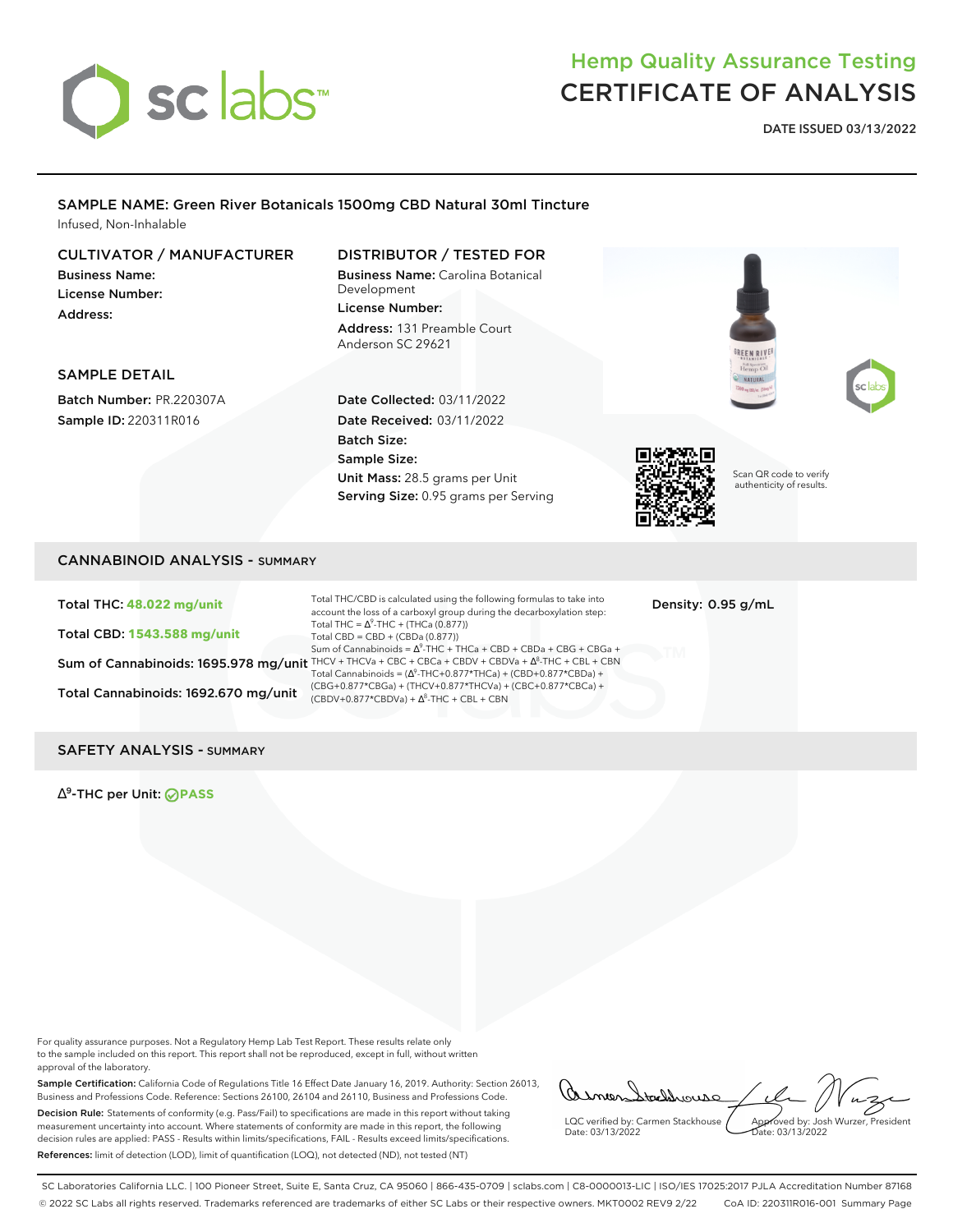

# Hemp Quality Assurance Testing CERTIFICATE OF ANALYSIS

**DATE ISSUED 03/13/2022**

### SAMPLE NAME: Green River Botanicals 1500mg CBD Natural 30ml Tincture Infused, Non-Inhalable

### CULTIVATOR / MANUFACTURER

Business Name: License Number: Address:

# DISTRIBUTOR / TESTED FOR

Business Name: Carolina Botanical Development License Number: Address: 131 Preamble Court Anderson SC 29621





#### SAMPLE DETAIL

Batch Number: PR.220307A Sample ID: 220311R016

Date Collected: 03/11/2022 Date Received: 03/11/2022 Batch Size: Sample Size: Unit Mass: 28.5 grams per Unit Serving Size: 0.95 grams per Serving



Scan QR code to verify authenticity of results.

# CANNABINOID ANALYSIS - SUMMARY

Total THC: **48.022 mg/unit** Total CBD: **1543.588 mg/unit**

Total Cannabinoids: 1692.670 mg/unit  $\frac{(CBDV+0.877 \times CBDV_4) + (HICV+U.877 \times CBDV_4) + \Delta^8 \cdot THC + CBL + CBN}{}$ 

Sum of Cannabinoids: 1695.978 mg/unit THCV + THCVa + CBC + CBCa + CBDV + CBDVa +  $\Delta^8$ -THC + CBL + CBN Total THC/CBD is calculated using the following formulas to take into account the loss of a carboxyl group during the decarboxylation step: Total THC =  $\Delta^9$ -THC + (THCa (0.877)) Total CBD = CBD + (CBDa (0.877)) Sum of Cannabinoids =  $\Delta^9$ -THC + THCa + CBD + CBDa + CBG + CBGa + Total Cannabinoids =  $(\Delta^9$ -THC+0.877\*THCa) + (CBD+0.877\*CBDa) + (CBG+0.877\*CBGa) + (THCV+0.877\*THCVa) + (CBC+0.877\*CBCa) +

Density: 0.95 g/mL

#### SAFETY ANALYSIS - SUMMARY

∆ 9 -THC per Unit: **PASS**

For quality assurance purposes. Not a Regulatory Hemp Lab Test Report. These results relate only to the sample included on this report. This report shall not be reproduced, except in full, without written approval of the laboratory.

Sample Certification: California Code of Regulations Title 16 Effect Date January 16, 2019. Authority: Section 26013, Business and Professions Code. Reference: Sections 26100, 26104 and 26110, Business and Professions Code. Decision Rule: Statements of conformity (e.g. Pass/Fail) to specifications are made in this report without taking measurement uncertainty into account. Where statements of conformity are made in this report, the following decision rules are applied: PASS - Results within limits/specifications, FAIL - Results exceed limits/specifications. References: limit of detection (LOD), limit of quantification (LOO), not detected (ND), not tested (NT)

asmen Staddrouse LQC verified by: Carmen Stackhouse Approved by: Josh Wurzer, President

Date: 03/13/2022  $\frac{1}{2}$ de: 03/13/2022

SC Laboratories California LLC. | 100 Pioneer Street, Suite E, Santa Cruz, CA 95060 | 866-435-0709 | sclabs.com | C8-0000013-LIC | ISO/IES 17025:2017 PJLA Accreditation Number 87168 © 2022 SC Labs all rights reserved. Trademarks referenced are trademarks of either SC Labs or their respective owners. MKT0002 REV9 2/22 CoA ID: 220311R016-001 Summary Page